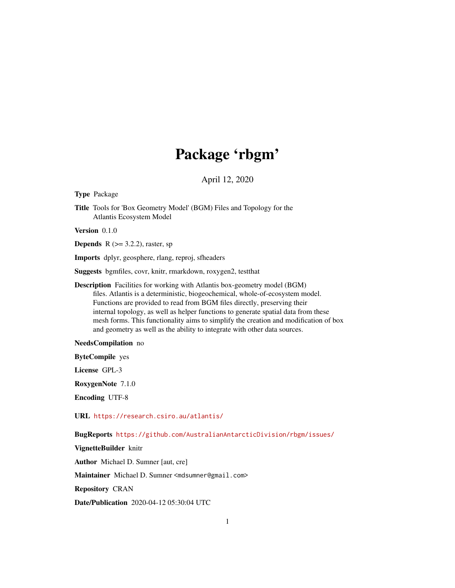## Package 'rbgm'

April 12, 2020

<span id="page-0-0"></span>Type Package

Title Tools for 'Box Geometry Model' (BGM) Files and Topology for the Atlantis Ecosystem Model

Version 0.1.0

**Depends** R  $(>= 3.2.2)$ , raster, sp

Imports dplyr, geosphere, rlang, reproj, sfheaders

Suggests bgmfiles, covr, knitr, rmarkdown, roxygen2, testthat

Description Facilities for working with Atlantis box-geometry model (BGM) files. Atlantis is a deterministic, biogeochemical, whole-of-ecosystem model. Functions are provided to read from BGM files directly, preserving their internal topology, as well as helper functions to generate spatial data from these mesh forms. This functionality aims to simplify the creation and modification of box and geometry as well as the ability to integrate with other data sources.

NeedsCompilation no

ByteCompile yes

License GPL-3

RoxygenNote 7.1.0

Encoding UTF-8

URL <https://research.csiro.au/atlantis/>

BugReports <https://github.com/AustralianAntarcticDivision/rbgm/issues/>

VignetteBuilder knitr

Author Michael D. Sumner [aut, cre]

Maintainer Michael D. Sumner <mdsumner@gmail.com>

Repository CRAN

Date/Publication 2020-04-12 05:30:04 UTC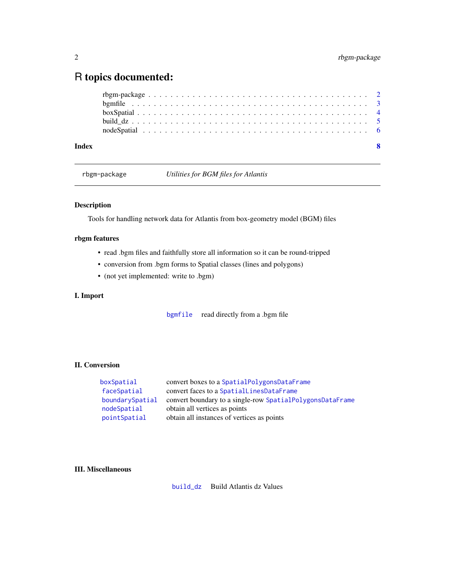### <span id="page-1-0"></span>R topics documented:

| Index |  |  |
|-------|--|--|
|       |  |  |
|       |  |  |
|       |  |  |
|       |  |  |
|       |  |  |

rbgm-package *Utilities for BGM files for Atlantis*

#### Description

Tools for handling network data for Atlantis from box-geometry model (BGM) files

#### rbgm features

- read .bgm files and faithfully store all information so it can be round-tripped
- conversion from .bgm forms to Spatial classes (lines and polygons)
- (not yet implemented: write to .bgm)

#### I. Import

[bgmfile](#page-2-1) read directly from a .bgm file

#### II. Conversion

| boxSpatial      | convert boxes to a SpatialPolygonsDataFrame               |
|-----------------|-----------------------------------------------------------|
| faceSpatial     | convert faces to a SpatialLinesDataFrame                  |
| boundarySpatial | convert boundary to a single-row SpatialPolygonsDataFrame |
| nodeSpatial     | obtain all vertices as points                             |
| pointSpatial    | obtain all instances of vertices as points                |

#### III. Miscellaneous

[build\\_dz](#page-4-1) Build Atlantis dz Values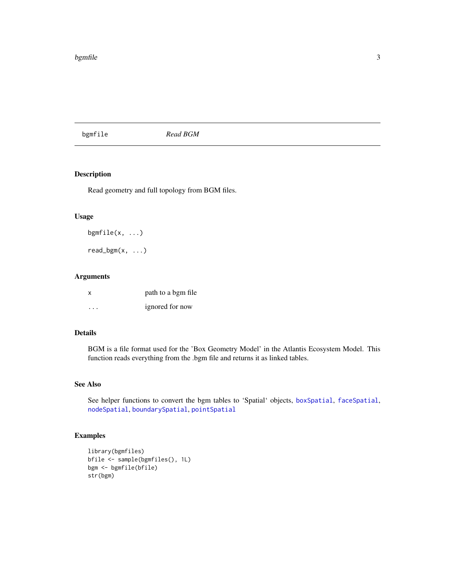#### <span id="page-2-0"></span>bgmfile 3

<span id="page-2-1"></span>bgmfile *Read BGM*

#### Description

Read geometry and full topology from BGM files.

#### Usage

bgmfile(x, ...)

read\_bgm $(x, \ldots)$ 

#### Arguments

| x                       | path to a bgm file |
|-------------------------|--------------------|
| $\cdot$ $\cdot$ $\cdot$ | ignored for now    |

#### Details

BGM is a file format used for the 'Box Geometry Model' in the Atlantis Ecosystem Model. This function reads everything from the .bgm file and returns it as linked tables.

#### See Also

See helper functions to convert the bgm tables to 'Spatial' objects, [boxSpatial](#page-3-1), [faceSpatial](#page-3-2), [nodeSpatial](#page-5-1), [boundarySpatial](#page-3-2), [pointSpatial](#page-5-2)

#### Examples

```
library(bgmfiles)
bfile <- sample(bgmfiles(), 1L)
bgm <- bgmfile(bfile)
str(bgm)
```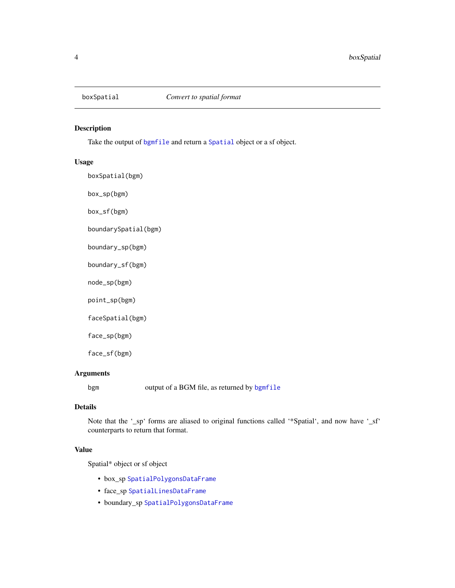<span id="page-3-1"></span><span id="page-3-0"></span>

#### <span id="page-3-2"></span>Description

Take the output of [bgmfile](#page-2-1) and return a [Spatial](#page-0-0) object or a sf object.

#### Usage

boxSpatial(bgm)

box\_sp(bgm)

box\_sf(bgm)

boundarySpatial(bgm)

boundary\_sp(bgm)

boundary\_sf(bgm)

node\_sp(bgm)

point\_sp(bgm)

faceSpatial(bgm)

face\_sp(bgm)

face\_sf(bgm)

#### Arguments

bgm output of a BGM file, as returned by [bgmfile](#page-2-1)

#### Details

Note that the '\_sp' forms are aliased to original functions called '\*Spatial', and now have '\_sf' counterparts to return that format.

#### Value

Spatial\* object or sf object

- box\_sp [SpatialPolygonsDataFrame](#page-0-0)
- face\_sp [SpatialLinesDataFrame](#page-0-0)
- boundary\_sp [SpatialPolygonsDataFrame](#page-0-0)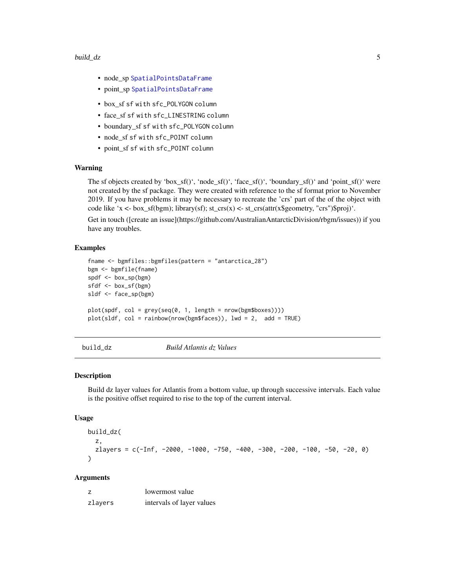#### <span id="page-4-0"></span>build\_dz 5

- node\_sp [SpatialPointsDataFrame](#page-0-0)
- point\_sp [SpatialPointsDataFrame](#page-0-0)
- box\_sf sf with sfc\_POLYGON column
- face sf sf with sfc\_LINESTRING column
- boundary\_sf sf with sfc\_POLYGON column
- node\_sf sf with sfc\_POINT column
- point sf sf with sfc\_POINT column

#### Warning

The sf objects created by 'box\_sf()', 'node\_sf()', 'face\_sf()', 'boundary\_sf()' and 'point\_sf()' were not created by the sf package. They were created with reference to the sf format prior to November 2019. If you have problems it may be necessary to recreate the 'crs' part of the of the object with code like 'x <- box\_sf(bgm); library(sf); st\_crs(x) <- st\_crs(attr(x\$geometry, "crs")\$proj)'.

Get in touch ([create an issue](https://github.com/AustralianAntarcticDivision/rbgm/issues)) if you have any troubles.

#### Examples

```
fname <- bgmfiles::bgmfiles(pattern = "antarctica_28")
bgm <- bgmfile(fname)
spdf <- box_sp(bgm)
sfdf <- box_sf(bgm)
sldf <- face_sp(bgm)
plot(spdf, col = grey(seq(0, 1, length = nrow(bgm$boxes))))
plot(sldf, col = rainbow(nrow(bgm$faces)), lwd = 2, add = TRUE)
```
<span id="page-4-1"></span>build\_dz *Build Atlantis dz Values*

#### Description

Build dz layer values for Atlantis from a bottom value, up through successive intervals. Each value is the positive offset required to rise to the top of the current interval.

#### Usage

```
build_dz(
 z,
 zlayers = c(-Inf, -2000, -1000, -750, -400, -300, -200, -100, -50, -20, 0))
```
#### Arguments

| Z       | lowermost value           |
|---------|---------------------------|
| zlayers | intervals of layer values |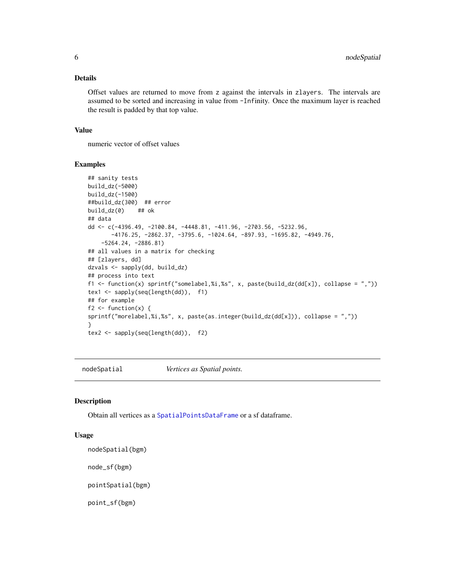#### <span id="page-5-0"></span>Details

Offset values are returned to move from z against the intervals in zlayers. The intervals are assumed to be sorted and increasing in value from -Infinity. Once the maximum layer is reached the result is padded by that top value.

#### Value

numeric vector of offset values

#### Examples

```
## sanity tests
build_dz(-5000)
build_dz(-1500)
##build_dz(300) ## error
build_dz(0) ## ok
## data
dd <- c(-4396.49, -2100.84, -4448.81, -411.96, -2703.56, -5232.96,
       -4176.25, -2862.37, -3795.6, -1024.64, -897.93, -1695.82, -4949.76,
    -5264.24, -2886.81)
## all values in a matrix for checking
## [zlayers, dd]
dzvals <- sapply(dd, build_dz)
## process into text
f1 <- function(x) sprintf("somelabel,%i,%s", x, paste(build_dz(dd[x]), collapse = ","))
tex1 <- sapply(seq(length(dd)), f1)
## for example
f2 \leftarrow function(x) {
sprintf("morelabel,%i,%s", x, paste(as.integer(build_dz(dd[x])), collapse = ","))
}
tex2 <- sapply(seq(length(dd)), f2)
```
<span id="page-5-1"></span>nodeSpatial *Vertices as Spatial points.*

#### <span id="page-5-2"></span>Description

Obtain all vertices as a [SpatialPointsDataFrame](#page-0-0) or a sf dataframe.

#### Usage

```
nodeSpatial(bgm)
```
node\_sf(bgm)

pointSpatial(bgm)

point\_sf(bgm)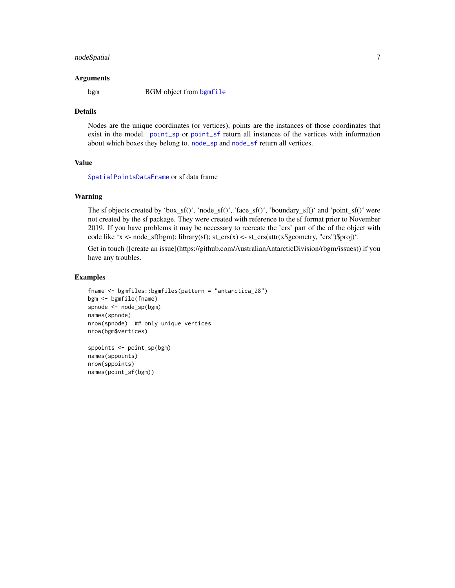#### <span id="page-6-0"></span>nodeSpatial 7

#### Arguments

bgm BGM object from [bgmfile](#page-2-1)

#### Details

Nodes are the unique coordinates (or vertices), points are the instances of those coordinates that exist in the model. [point\\_sp](#page-3-2) or [point\\_sf](#page-5-2) return all instances of the vertices with information about which boxes they belong to. [node\\_sp](#page-3-2) and [node\\_sf](#page-5-2) return all vertices.

#### Value

[SpatialPointsDataFrame](#page-0-0) or sf data frame

#### Warning

The sf objects created by 'box\_sf()', 'node\_sf()', 'face\_sf()', 'boundary\_sf()' and 'point\_sf()' were not created by the sf package. They were created with reference to the sf format prior to November 2019. If you have problems it may be necessary to recreate the 'crs' part of the of the object with code like 'x <- node\_sf(bgm); library(sf); st\_crs(x) <- st\_crs(attr(x\$geometry, "crs")\$proj)'.

Get in touch ([create an issue](https://github.com/AustralianAntarcticDivision/rbgm/issues)) if you have any troubles.

#### Examples

```
fname <- bgmfiles::bgmfiles(pattern = "antarctica_28")
bgm <- bgmfile(fname)
spnode <- node_sp(bgm)
names(spnode)
nrow(spnode) ## only unique vertices
nrow(bgm$vertices)
```

```
sppoints <- point_sp(bgm)
names(sppoints)
nrow(sppoints)
names(point_sf(bgm))
```